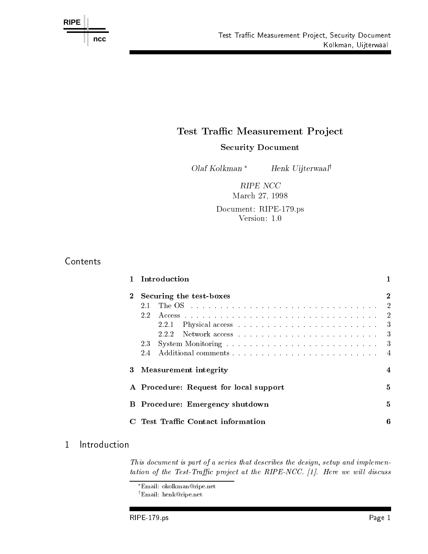

## Test Traffic Measurement Project

Security Document

Olaf Kolkman \* Henk Uijterwaal

RIPE NCC March - March - March - March - March - March - March - March - March - March - March - March - March - March

Document: RIPE-179.ps Version: 1.0

## **Contents**

|                                        | Introduction                           |    |  |
|----------------------------------------|----------------------------------------|----|--|
| $\bf{2}$                               | Securing the test-boxes                |    |  |
|                                        | 21                                     | -2 |  |
|                                        | 22                                     | -2 |  |
|                                        | 2.2.1                                  | 3  |  |
|                                        | 222                                    | 3  |  |
|                                        | 2.3                                    | -3 |  |
|                                        | 2.4                                    | 4  |  |
| 3                                      | <b>Measurement</b> integrity           |    |  |
| A Procedure: Request for local support |                                        |    |  |
|                                        | <b>B</b> Procedure: Emergency shutdown |    |  |
|                                        | Test Traffic Contact information       | 6  |  |

This document is part of a series that describes the design, setup and implemen- $\it{t}$ ation of the Test-Traffic project at the ItII E-NOO. [I]. Here we will also ass

'Email: nenk@ripe.net

Email: okolkman@ripe.net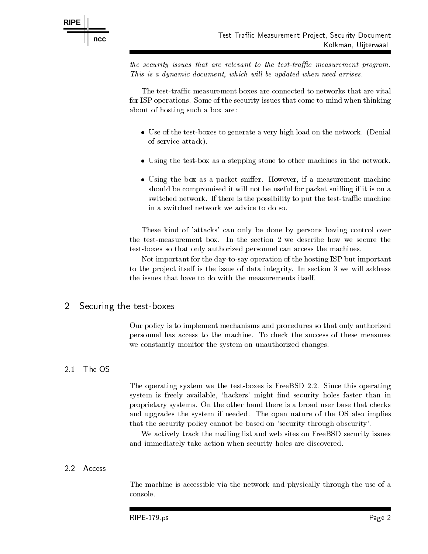

the security issues that are relevant to the testtra-c measurement program  $\overline{I}$  ilos is a agnumic uveument, which will be updated when need arrises.

Kolkman, Uijterwaal

The test-traffic measurement boxes are connected to networks that are vital for ISP operations. Some of the security issues that come to mind when thinking about of hosting such a box are

- Use of the testboxes to generate a very high load on the network Denial of service attack
- Using the test as a stepping stone to other machines in the network in the network  $\sim$
- Using the box as a packet sni er However if a measurement machine should be compromised it will not be useful for packet sniffing if it is on a switched network. If there is the possibility to put the test-traffic machine in a switched network we advice to do so

These kind of 'attacks' can only be done by persons having control over the test-measurement box. In the section 2 we describe how we secure the test-boxes so that only authorized personnel can access the machines.

Not important for the day-to-say operation of the hosting ISP but important to the project itself is the issue of data integrity. In section 3 we will address

### Securing the test-boxes

Our policy is to implement mechanisms and procedures so that only authorized personnel has access to the machine To check the success of these measures we constantly monitor the system on unauthorized changes.

#### $2.1$ The OS

The operating system we the test-boxes is FreeBSD 2.2. Since this operating system is freely available, 'hackers' might find security holes faster than in proprietary systems On the other hand there is a broad user base that checks and upgrades the system if needed. The open nature of the OS also implies that the security policy cannot be based on 'security through obscurity'.

We actively track the mailing list and web sites on FreeBSD security issues and immediately take action when security holes are discovered

### 2.2 Access

The machine is accessible via the network and physically through the use of a console.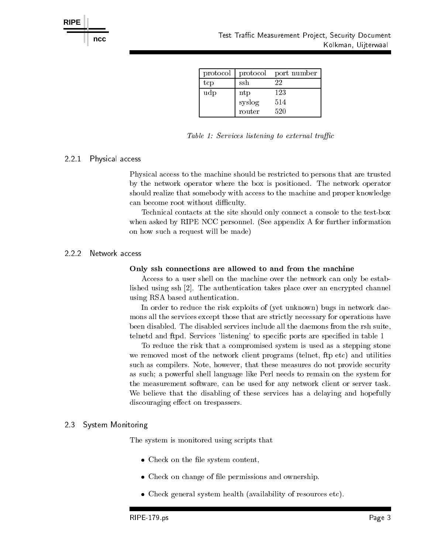

| protocol | protocol                   | port number |
|----------|----------------------------|-------------|
| tcp      | ssh                        | 22          |
| udp      | $\mathop{\rm nt}\nolimits$ | 123         |
|          | syslog                     | 514         |
|          | router                     | 520         |

Table Services listening to external tra-c

### - Physical access

Physical access to the machine should be restricted to persons that are trusted by the network operator where the box is positioned. The network operator should realize that somebody with access to the machine and proper knowledge can become root without difficulty.

Technical contacts at the site should only connect a console to the testbox when asked by RIPE NCC personnel. (See appendix A for further information on how such a request will be made 

### 2.2.2 Network access

#### Only ssh connections are allowed to and from the machine

Access to a user shell on the machine over the network can only be estab lished using ssh [2]. The authentication takes place over an encrypted channel using RSA based authentication

In order to reduce the risk exploits of (yet unknown) bugs in network daemons all the services except those that are strictly necessary for operations have been disabled The disabled services include all the daemons from the rsh suite telnetd and ftpd. Services 'listening' to specific ports are specified in table 1

To reduce the risk that a compromised system is used as a stepping stone we removed most of the network client programs (telnet, ftp etc) and utilities such as compilers. Note, however, that these measures do not provide security as such; a powerful shell language like Perl needs to remain on the system for the measurement software, can be used for any network client or server task. We believe that the disabling of these services has a delaying and hopefully discouraging e ect on trespassers

#### 23 System Monitoring

The system is monitored using scripts that

- Check on the le system content
- Check on change of le permissions and ownership
- Check general system health availability of resources etc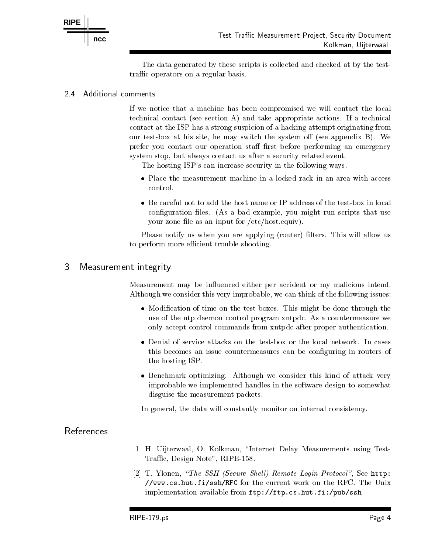

The data generated by these scripts is collected and checked at by the test traffic operators on a regular basis.

#### $2.4$ Additional comments

If we notice that a machine has been compromised we will contact the local technical contact (see section A) and take appropriate actions. If a technical contact at the ISP has a strong suspicion of a hacking attempt originating from our test box at his see all see alley chaired the system of the system of produced  $\sim$  , the second prefer you contact our operations state meat contact performing and emergency system stop, but always contact us after a security related event.

The hosting ISP's can increase security in the following ways.

- 
- configuration files. (As a bad example, you might run scripts that use your zone file as an input for  $/etc/host.$  equiv).

Please notify us when you are applying (router) filters. This will allow us to perform more efficient trouble shooting.

## Measurement integrity

Measurement may be influenced either per accident or my malicious intend. Although we consider this very improbable, we can think of the following issues:

- Modication of time on the testboxes This might be done through the use of the ntp daemon control program xntpdc. As a countermeasure we only accept control commands from xntpdc after proper authentication
- Denial of service attacks on the testbox or the local network In cases this becomes an issue countermeasures can be configuring in routers of the hosting ISP
- Benchmark optimizing Although we consider this kind of attack very improbable we implemented handles in the software design to somewhat disguise the measurement packets

In general, the data will constantly monitor on internal consistency.

## References

- ist ook onder waard O Kolkmannen Internet Delay Measurements using Testi  $T$  . The design  $T$  is a design  $T$  -  $T$  and  $T$  -  $T$  -  $T$  -  $T$  -  $T$  -  $T$  -  $T$  -  $T$  -  $T$  -  $T$  -  $T$  -  $T$  -  $T$  -  $T$  -  $T$  -  $T$  -  $T$  -  $T$  -  $T$  -  $T$  -  $T$  -  $T$  -  $T$  -  $T$  -  $T$  -  $T$  -  $T$  -  $T$  -  $T$  -
- $\vert A\vert$  is fromen, the state factore shelf iteration from the second theory is the second second that  $\mu$ www-cs-hut-fisshRFC for the current work on the RFC The Unix implementation available from ftpftp-cs-hut-fipubssh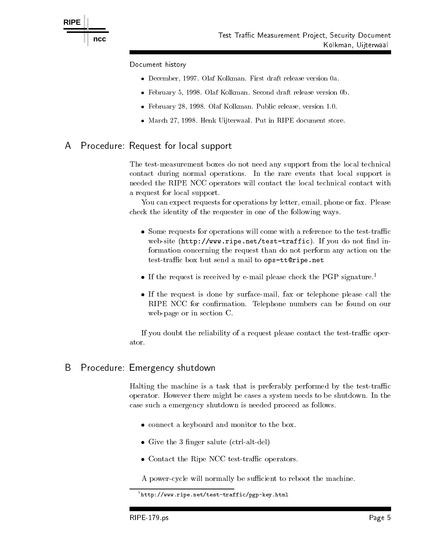

Document history

**RIPE**

- . December 1991, Olaf Kolkman, First draft release version can
- February -- Olaf Kolkman Second draft release version b
- February -- Olaf Kolkman Public release version
- March -- Henk Uijterwaal Put in RIPE document store

#### Procedure: Request for local support A

The test-measurement boxes do not need any support from the local technical contact during normal operations In the rare events that local support is needed the RIPE NCC operators will contact the local technical contact with a request for local support

You can expect requests for operations by letter, email, phone or fax. Please check the identity of the requester in one of the following ways

- Some requests for operations will come with a reference to the testtrac ries for the strategies in the strategies of the interest of the interest of the strategies of the interest of formation concerning the request than do not perform any action on the test tenden sen sen de box but sende to opsttripe-to-opstelle
- $\bullet$  If the request is received by e-mail please check the PGP signature.
- If the request is done by surfacemail fax or telephone please call the RIPE NCC for confirmation. Telephone numbers can be found on our web-page or in section C.

If you doubt the reliability of a request please contact the test-traffic operator

#### B Procedure: Emergency shutdown

Halting the machine is a task that is preferably performed by the test-traffic operator. However there might be cases a system needs to be shutdown. In the case such a emergency shutdown is needed proceed as follows

- connect a keyboard and monitor to the box to the box to the box
- Give the sales sales sales the sales sales sales of the sales of the sales of the sales of the sales of the sa
- Contact the Ripe State test test test test presented t

A power-cycle will normally be sufficient to reboot the machine.

http://www.ripe.net/test-traffic/pgp-Key.html